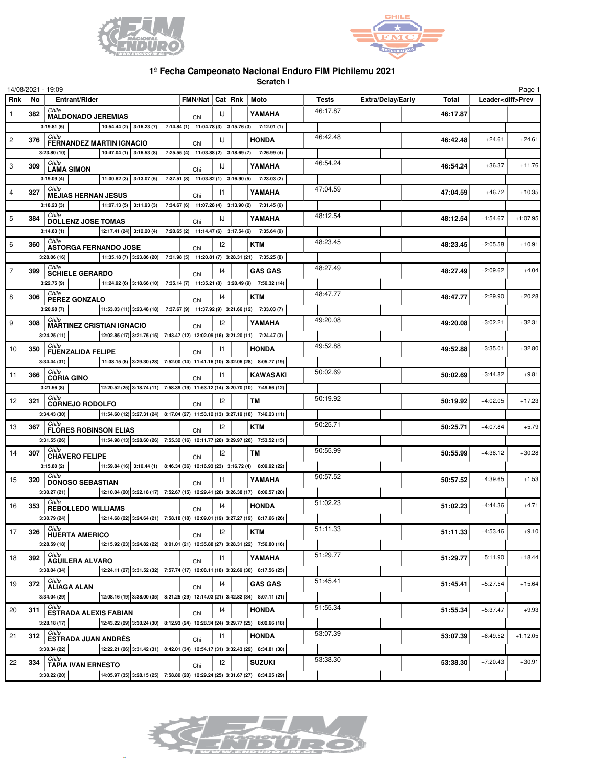



## **1ª Fecha Campeonato Nacional Enduro FIM Pichilemu 2021**

**Scratch I**

|                |                     | 14/08/2021 - 19:09                                                                                                                                    |     |               |                          |                 |              |                   |              |                          | Page 1     |
|----------------|---------------------|-------------------------------------------------------------------------------------------------------------------------------------------------------|-----|---------------|--------------------------|-----------------|--------------|-------------------|--------------|--------------------------|------------|
| Rnk            | Entrant/Rider<br>No |                                                                                                                                                       |     |               | FMN/Nat   Cat Rnk   Moto |                 | <b>Tests</b> | Extra/Delay/Early | <b>Total</b> | Leader <diff>Prev</diff> |            |
| $\mathbf{1}$   | 382                 | Chile<br><b>MALDONADO JEREMIAS</b>                                                                                                                    | Chi | IJ            |                          | YAMAHA          | 46:17.87     |                   | 46:17.87     |                          |            |
|                |                     | 10:54.44 (2) 3:16.23 (7) 7:14.84 (1) 11:04.78 (3) 3:15.76 (3)<br>3:19.81(5)                                                                           |     |               |                          | 7:12.01(1)      |              |                   |              |                          |            |
| $\overline{c}$ | 376                 | Chile<br><b>FERNANDEZ MARTIN IGNACIO</b>                                                                                                              | Chi | IJ            |                          | <b>HONDA</b>    | 46:42.48     |                   | 46:42.48     | $+24.61$                 | $+24.61$   |
|                |                     | 10:47:04 (1) 3:16.53 (8) 7:25.55 (4) 11:03.88 (2) 3:18.69 (7) 7:26.99 (4)<br>3:23.80(10)                                                              |     |               |                          |                 |              |                   |              |                          |            |
| 3              | 309                 | Chile                                                                                                                                                 |     | IJ            |                          | YAMAHA          | 46:54.24     |                   | 46:54.24     | $+36.37$                 | $+11.76$   |
|                |                     | <b>LAMA SIMON</b><br>11:00.82 (3) 3:13.07 (5) 7:37.51 (8) 11:03.82 (1) 3:16.90 (5) 7:23.03 (2)<br>3:19.09(4)                                          | Chi |               |                          |                 |              |                   |              |                          |            |
| $\overline{4}$ | 327                 | Chile                                                                                                                                                 |     | $\mathsf{I}$  |                          | YAMAHA          | 47:04.59     |                   | 47:04.59     | $+46.72$                 | $+10.35$   |
|                |                     | <b>MEJIAS HERNAN JESUS</b><br>11:07.13 (5) 3:11.93 (3) 7:34.67 (6) 11:07.28 (4) 3:13.90 (2) 7:31.45 (6)<br>3:18.23(3)                                 | Chi |               |                          |                 |              |                   |              |                          |            |
|                |                     | Chile                                                                                                                                                 |     |               |                          |                 | 48:12.54     |                   |              | $+1:54.67$               | $+1:07.95$ |
| 5              | 384                 | <b>DOLLENZ JOSE TOMAS</b>                                                                                                                             | Chi | IJ            |                          | YAMAHA          |              |                   | 48:12.54     |                          |            |
|                |                     | 12:17.41 (24) 3:12.20 (4) 7:20.65 (2) 11:14.47 (6) 3:17.54 (6) 7:35.64 (9)<br>3:14.63(1)<br>Chile                                                     |     |               |                          |                 | 48:23.45     |                   |              |                          |            |
| 6              | 360                 | <b>ASTORGA FERNANDO JOSE</b>                                                                                                                          | Chi | 12            |                          | <b>KTM</b>      |              |                   | 48:23.45     | $+2:05.58$               | $+10.91$   |
|                |                     | 11:35.18 (7) 3:23.86 (20) 7:31.98 (5) 11:20.81 (7) 3:28.31 (21) 7:35.25 (8)<br>3:28.06(16)                                                            |     |               |                          |                 |              |                   |              |                          |            |
| $\overline{7}$ | 399                 | Chile<br><b>SCHIELE GERARDO</b>                                                                                                                       | Chi | $\mathsf{I}4$ |                          | <b>GAS GAS</b>  | 48:27.49     |                   | 48:27.49     | $+2:09.62$               | $+4.04$    |
|                |                     | 11:24.92 (6) 3:18.66 (10) 7:35.14 (7) 11:35.21 (8) 3:20.49 (9) 7:50.32 (14)<br>3:22.75(9)                                                             |     |               |                          |                 |              |                   |              |                          |            |
| 8              | 306                 | Chile<br>PEREZ GONZALO                                                                                                                                | Chi | 14            |                          | <b>KTM</b>      | 48:47.77     |                   | 48:47.77     | $+2:29.90$               | $+20.28$   |
|                |                     | 11:53.03 (11) 3:23.48 (18) 7:37.67 (9) 11:37.92 (9) 3:21.66 (12) 7:33.03 (7)<br>3:20.98(7)                                                            |     |               |                          |                 |              |                   |              |                          |            |
| 9              | 308                 | Chile<br><b>MARTINEZ CRISTIAN IGNACIO</b>                                                                                                             | Chi | 12            |                          | YAMAHA          | 49:20.08     |                   | 49:20.08     | $+3:02.21$               | $+32.31$   |
|                |                     | $\vert$ 12:02.85 (17) $\vert$ 3:21.75 (15) $\vert$ 7:43.47 (12) 12:02.09 (16) 3:21.20 (11) $\vert$ 7:24.47 (3)<br>3:24.25(11)                         |     |               |                          |                 |              |                   |              |                          |            |
| 10             | 350                 | Chile<br><b>FUENZALIDA FELIPE</b>                                                                                                                     | Chi | $\mathsf{I}$  |                          | <b>HONDA</b>    | 49:52.88     |                   | 49:52.88     | $+3:35.01$               | $+32.80$   |
|                |                     | 11:38.15 (8) 3:29.30 (28) 7:52.00 (14) 11:41.16 (10) 3:32.06 (28) 8:05.77 (19)<br>3:34.44(31)                                                         |     |               |                          |                 |              |                   |              |                          |            |
| 11             | 366                 | Chile                                                                                                                                                 |     | $\mathsf{I}$  |                          | <b>KAWASAKI</b> | 50:02.69     |                   | 50:02.69     | $+3:44.82$               | $+9.81$    |
|                |                     | <b>CORIA GINO</b><br>12:20.52 (25) 3:18.74 (11) 7:58.39 (19) 11:53.12 (14) 3:20.70 (10) 7:49.66 (12)<br>3:21.56(8)                                    | Chi |               |                          |                 |              |                   |              |                          |            |
| 12             | 321                 | Chile                                                                                                                                                 |     | $ 2\rangle$   |                          | <b>TM</b>       | 50:19.92     |                   | 50:19.92     | $+4:02.05$               | $+17.23$   |
|                |                     | <b>CORNEJO RODOLFO</b><br>$\vert$ 11:54.60 (12) 3:27.31 (24) 8:17.04 (27) 11:53.12 (13) 3:27.19 (18) 7:46.23 (11)<br>3:34.43 (30)                     | Chi |               |                          |                 |              |                   |              |                          |            |
|                |                     | Chile                                                                                                                                                 |     |               |                          |                 | 50:25.71     |                   |              |                          |            |
| 13             | 367                 | <b>FLORES ROBINSON ELIAS</b>                                                                                                                          | Chi | 12            |                          | <b>KTM</b>      |              |                   | 50:25.71     | $+4:07.84$               | $+5.79$    |
|                |                     | 11:54.98 (13) 3:28.60 (26) 7:55.32 (16) 12:11.77 (20) 3:29.97 (26) 7:53.52 (15)<br>3:31.55(26)<br>Chile                                               |     |               |                          |                 | 50:55.99     |                   |              |                          |            |
| 14             | 307                 | <b>CHAVERO FELIPE</b>                                                                                                                                 | Chi | 12            |                          | <b>TM</b>       |              |                   | 50:55.99     | $+4:38.12$               | $+30.28$   |
|                |                     | 11:59.84 (16) 3:10.44 (1) 8:46.34 (36) 12:16.93 (23) 3:16.72 (4) 8:09.92 (22)<br>3:15.80(2)                                                           |     |               |                          |                 |              |                   |              |                          |            |
| 15             | 320                 | Chile<br><b>DONOSO SEBASTIAN</b>                                                                                                                      | Chi | 11            |                          | YAMAHA          | 50:57.52     |                   | 50:57.52     | $+4:39.65$               | $+1.53$    |
|                |                     | $\vert$ 12:10.04 (20) $\vert$ 3:22.18 (17) $\vert$ 7:52.67 (15) 12:29.41 (26) 3:26.38 (17) 8:06.57 (20)<br>3:30.27(21)                                |     |               |                          |                 |              |                   |              |                          |            |
| 16             | 353                 | Chile<br><b>REBOLLEDO WILLIAMS</b>                                                                                                                    | Chi | 14            |                          | <b>HONDA</b>    | 51:02.23     |                   | 51:02.23     | $+4:44.36$               | $+4.71$    |
|                |                     |                                                                                                                                                       |     |               |                          |                 |              |                   |              |                          |            |
| 17             | 326                 | Chile<br><b>HUERTA AMERICO</b>                                                                                                                        | Chi | $ 2\rangle$   |                          | KTM             | 51:11.33     |                   | 51:11.33     | $+4:53.46$               | $+9.10$    |
|                |                     | 12:15.92 (23) 3:24.82 (22) 8:01.01 (21) 12:35.88 (27) 3:28.31 (22) 7:56.80 (16)<br>3:28.59(18)                                                        |     |               |                          |                 |              |                   |              |                          |            |
| 18             | 392                 | Chile<br><b>AGUILERA ALVARO</b>                                                                                                                       |     | 1             |                          | YAMAHA          | 51:29.77     |                   | 51:29.77     | $+5:11.90$               | $+18.44$   |
|                |                     | 12:24.11 (27) 3:31.52 (32) 7:57.74 (17) 12:08.11 (18) 3:32.69 (30) 8:17.56 (25)<br>3:38.04(34)                                                        | Chi |               |                          |                 |              |                   |              |                          |            |
| 19             | 372                 | Chile                                                                                                                                                 |     | 14            |                          | <b>GAS GAS</b>  | 51:45.41     |                   | 51:45.41     | $+5:27.54$               | $+15.64$   |
|                |                     | <b>ALIAGA ALAN</b><br>$\vert 12:08.16(19) \vert 3:38.00(35) \vert 8:21.25(29) \vert 12:14.03(21) \vert 3:42.82(34) \vert 8:07.11(21)$<br>3:34.04 (29) | Chi |               |                          |                 |              |                   |              |                          |            |
|                |                     | Chile                                                                                                                                                 |     |               |                          |                 | 51:55.34     |                   |              |                          |            |
| 20             | 311                 | <b>ESTRADA ALEXIS FABIAN</b>                                                                                                                          | Chi | 14            |                          | <b>HONDA</b>    |              |                   | 51:55.34     | $+5:37.47$               | $+9.93$    |
|                |                     | $\big  12:43.22(29) 3:30.24(30) 8:12.93(24) 12:28.34(24) 3:29.77(25) 8:02.66(18)$<br>3:28.18(17)<br>Chile                                             |     |               |                          |                 | 53:07.39     |                   |              |                          |            |
| 21             | 312                 | <b>ESTRADA JUAN ANDRÉS</b>                                                                                                                            | Chi | $\vert$ 1     |                          | <b>HONDA</b>    |              |                   | 53:07.39     | $+6:49.52$               | $+1:12.05$ |
|                |                     | 12:22.21 (26) 3:31.42 (31) 8:42.01 (34) 12:54.17 (31) 3:32.43 (29) 8:34.81 (30)<br>3:30.34(22)                                                        |     |               |                          |                 |              |                   |              |                          |            |
| 22             | 334                 | Chile<br><b>TAPIA IVAN ERNESTO</b>                                                                                                                    | Chi | 12            |                          | <b>SUZUKI</b>   | 53:38.30     |                   | 53:38.30     | $+7:20.43$               | $+30.91$   |
|                |                     | 14:05.97 (35) 3:28.15 (25) 7:58.80 (20) 12:29.24 (25) 3:31.67 (27) 8:34.25 (29)<br>3:30.22 (20)                                                       |     |               |                          |                 |              |                   |              |                          |            |